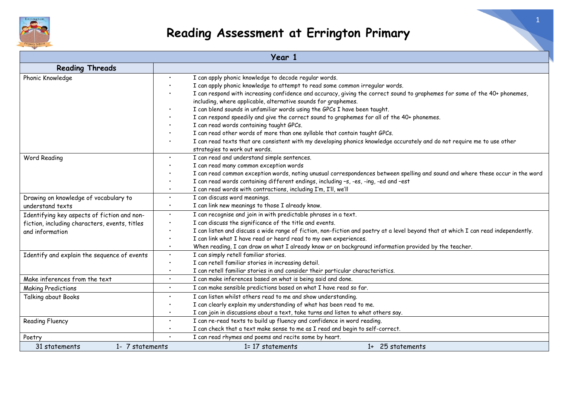

| Year 1                                                                   |                                                                                                                                    |  |  |
|--------------------------------------------------------------------------|------------------------------------------------------------------------------------------------------------------------------------|--|--|
| <b>Reading Threads</b>                                                   |                                                                                                                                    |  |  |
| Phonic Knowledge                                                         | I can apply phonic knowledge to decode regular words.<br>$\bullet$                                                                 |  |  |
|                                                                          | I can apply phonic knowledge to attempt to read some common irregular words.                                                       |  |  |
|                                                                          | I can respond with increasing confidence and accuracy, giving the correct sound to graphemes for some of the 40+ phonemes,         |  |  |
|                                                                          | including, where applicable, alternative sounds for graphemes.                                                                     |  |  |
|                                                                          | I can blend sounds in unfamiliar words using the GPCs I have been taught.                                                          |  |  |
|                                                                          | I can respond speedily and give the correct sound to graphemes for all of the 40+ phonemes.                                        |  |  |
|                                                                          | I can read words containing taught GPCs.                                                                                           |  |  |
|                                                                          | I can read other words of more than one syllable that contain taught GPCs.                                                         |  |  |
|                                                                          | I can read texts that are consistent with my developing phonics knowledge accurately and do not require me to use other            |  |  |
|                                                                          | strategies to work out words.                                                                                                      |  |  |
| I can read and understand simple sentences.<br>Word Reading<br>$\bullet$ |                                                                                                                                    |  |  |
|                                                                          | I can read many common exception words                                                                                             |  |  |
|                                                                          | I can read common exception words, noting unusual correspondences between spelling and sound and where these occur in the word     |  |  |
|                                                                          | I can read words containing different endings, including -s, -es, -ing, -ed and -est                                               |  |  |
|                                                                          | I can read words with contractions, including I'm, I'll, we'll<br>$\bullet$                                                        |  |  |
| Drawing on knowledge of vocabulary to                                    | I can discuss word meanings.<br>$\bullet$                                                                                          |  |  |
| understand texts                                                         | I can link new meanings to those I already know.<br>$\bullet$                                                                      |  |  |
| Identifying key aspects of fiction and non-                              | I can recognise and join in with predictable phrases in a text.<br>$\bullet$                                                       |  |  |
| fiction, including characters, events, titles                            | I can discuss the significance of the title and events.                                                                            |  |  |
| and information                                                          | I can listen and discuss a wide range of fiction, non-fiction and poetry at a level beyond that at which I can read independently. |  |  |
|                                                                          | I can link what I have read or heard read to my own experiences.                                                                   |  |  |
|                                                                          | When reading, I can draw on what I already know or on background information provided by the teacher.<br>$\bullet$                 |  |  |
| Identify and explain the sequence of events                              | I can simply retell familiar stories.<br>$\bullet$                                                                                 |  |  |
|                                                                          | I can retell familiar stories in increasing detail.<br>$\bullet$                                                                   |  |  |
|                                                                          | I can retell familiar stories in and consider their particular characteristics.<br>$\bullet$                                       |  |  |
| Make inferences from the text                                            | I can make inferences based on what is being said and done.<br>$\bullet$                                                           |  |  |
| <b>Making Predictions</b>                                                | I can make sensible predictions based on what I have read so far.<br>$\bullet$                                                     |  |  |
| Talking about Books                                                      | I can listen whilst others read to me and show understanding.<br>$\bullet$                                                         |  |  |
|                                                                          | I can clearly explain my understanding of what has been read to me.<br>$\bullet$                                                   |  |  |
|                                                                          | I can join in discussions about a text, take turns and listen to what others say.<br>$\bullet$                                     |  |  |
| <b>Reading Fluency</b>                                                   | I can re-read texts to build up fluency and confidence in word reading.<br>$\bullet$                                               |  |  |
|                                                                          | I can check that a text make sense to me as I read and begin to self-correct.<br>$\bullet$                                         |  |  |
| Poetry                                                                   | I can read rhymes and poems and recite some by heart.                                                                              |  |  |
| 1- 7 statements<br>31 statements                                         | 1+ 25 statements<br>1= 17 statements                                                                                               |  |  |

1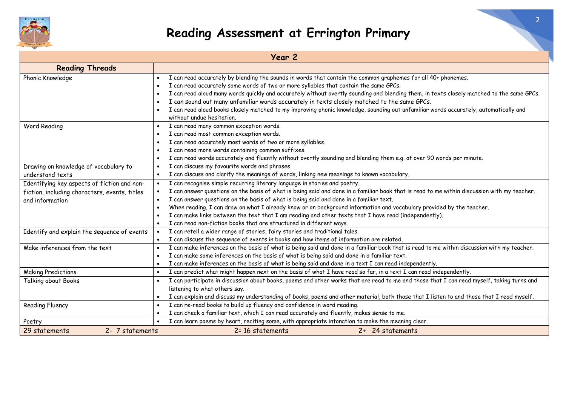

| Year 2                                        |                                                                                                                                                         |  |  |  |
|-----------------------------------------------|---------------------------------------------------------------------------------------------------------------------------------------------------------|--|--|--|
| <b>Reading Threads</b>                        |                                                                                                                                                         |  |  |  |
| Phonic Knowledge                              | I can read accurately by blending the sounds in words that contain the common graphemes for all 40+ phonemes.                                           |  |  |  |
|                                               | I can read accurately some words of two or more syllables that contain the same GPCs.                                                                   |  |  |  |
|                                               | I can read aloud many words quickly and accurately without overtly sounding and blending them, in texts closely matched to the same GPCs.               |  |  |  |
|                                               | I can sound out many unfamiliar words accurately in texts closely matched to the same GPCs.                                                             |  |  |  |
|                                               | I can read aloud books closely matched to my improving phonic knowledge, sounding out unfamiliar words accurately, automatically and                    |  |  |  |
|                                               | without undue hesitation.                                                                                                                               |  |  |  |
| Word Reading                                  | I can read many common exception words.                                                                                                                 |  |  |  |
|                                               | I can read most common exception words.                                                                                                                 |  |  |  |
|                                               | I can read accurately most words of two or more syllables.                                                                                              |  |  |  |
|                                               | I can read more words containing common suffixes.                                                                                                       |  |  |  |
|                                               | I can read words accurately and fluently without overtly sounding and blending them e.g. at over 90 words per minute.                                   |  |  |  |
| Drawing on knowledge of vocabulary to         | I can discuss my favourite words and phrases                                                                                                            |  |  |  |
| understand texts                              | I can discuss and clarify the meanings of words, linking new meanings to known vocabulary.                                                              |  |  |  |
| Identifying key aspects of fiction and non-   | I can recognise simple recurring literary language in stories and poetry.                                                                               |  |  |  |
| fiction, including characters, events, titles | I can answer questions on the basis of what is being said and done in a familiar book that is read to me within discussion with my teacher.             |  |  |  |
| and information                               | I can answer questions on the basis of what is being said and done in a familiar text.                                                                  |  |  |  |
|                                               | When reading, I can draw on what I already know or on background information and vocabulary provided by the teacher.                                    |  |  |  |
|                                               | I can make links between the text that I am reading and other texts that I have read (independently).                                                   |  |  |  |
|                                               | I can read non-fiction books that are structured in different ways.                                                                                     |  |  |  |
| Identify and explain the sequence of events   | I can retell a wider range of stories, fairy stories and traditional tales.                                                                             |  |  |  |
|                                               | I can discuss the sequence of events in books and how items of information are related.<br>$\bullet$                                                    |  |  |  |
| Make inferences from the text                 | I can make inferences on the basis of what is being said and done in a familiar book that is read to me within discussion with my teacher.<br>$\bullet$ |  |  |  |
|                                               | I can make some inferences on the basis of what is being said and done in a familiar text.                                                              |  |  |  |
|                                               | I can make inferences on the basis of what is being said and done in a text I can read independently.                                                   |  |  |  |
| <b>Making Predictions</b>                     | I can predict what might happen next on the basis of what I have read so far, in a text I can read independently.                                       |  |  |  |
| Talking about Books                           | I can participate in discussion about books, poems and other works that are read to me and those that I can read myself, taking turns and               |  |  |  |
|                                               | listening to what others say.                                                                                                                           |  |  |  |
|                                               | I can explain and discuss my understanding of books, poems and other material, both those that I listen to and those that I read myself.                |  |  |  |
| <b>Reading Fluency</b>                        | I can re-read books to build up fluency and confidence in word reading.                                                                                 |  |  |  |
|                                               | I can check a familiar text, which I can read accurately and fluently, makes sense to me.                                                               |  |  |  |
| Poetry                                        | I can learn poems by heart, reciting some, with appropriate intonation to make the meaning clear.                                                       |  |  |  |
| 2- 7 statements<br>29 statements              | 2= 16 statements<br>2+ 24 statements                                                                                                                    |  |  |  |

2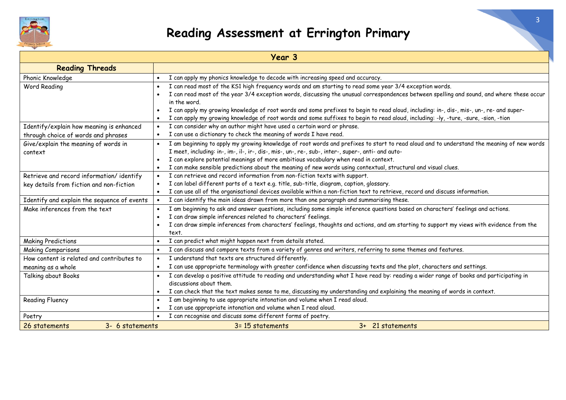

| Year 3                                      |                                                                                                                                                        |  |  |  |
|---------------------------------------------|--------------------------------------------------------------------------------------------------------------------------------------------------------|--|--|--|
| <b>Reading Threads</b>                      |                                                                                                                                                        |  |  |  |
| Phonic Knowledge                            | I can apply my phonics knowledge to decode with increasing speed and accuracy.                                                                         |  |  |  |
| Word Reading                                | I can read most of the KS1 high frequency words and am starting to read some year 3/4 exception words.                                                 |  |  |  |
|                                             | I can read most of the year 3/4 exception words, discussing the unusual correspondences between spelling and sound, and where these occur              |  |  |  |
|                                             | in the word.                                                                                                                                           |  |  |  |
|                                             | I can apply my growing knowledge of root words and some prefixes to begin to read aloud, including: in-, dis-, mis-, un-, re- and super-               |  |  |  |
|                                             | I can apply my growing knowledge of root words and some suffixes to begin to read aloud, including: -ly, -ture, -sure, -sion, -tion                    |  |  |  |
| Identify/explain how meaning is enhanced    | I can consider why an author might have used a certain word or phrase.                                                                                 |  |  |  |
| through choice of words and phrases         | I can use a dictionary to check the meaning of words I have read.                                                                                      |  |  |  |
| Give/explain the meaning of words in        | I am beginning to apply my growing knowledge of root words and prefixes to start to read aloud and to understand the meaning of new words<br>$\bullet$ |  |  |  |
| context                                     | I meet, including: in-, im-, il-, ir-, dis-, mis-, un-, re-, sub-, inter-, super-, anti- and auto-                                                     |  |  |  |
|                                             | I can explore potential meanings of more ambitious vocabulary when read in context.                                                                    |  |  |  |
|                                             | I can make sensible predictions about the meaning of new words using contextual, structural and visual clues.                                          |  |  |  |
| Retrieve and record information/identify    | I can retrieve and record information from non-fiction texts with support.                                                                             |  |  |  |
| key details from fiction and non-fiction    | I can label different parts of a text e.g. title, sub-title, diagram, caption, glossary.                                                               |  |  |  |
|                                             | I can use all of the organisational devices available within a non-fiction text to retrieve, record and discuss information.                           |  |  |  |
| Identify and explain the sequence of events | I can identify the main ideas drawn from more than one paragraph and summarising these.                                                                |  |  |  |
| Make inferences from the text               | I am beginning to ask and answer questions, including some simple inference questions based on characters' feelings and actions.                       |  |  |  |
|                                             | I can draw simple inferences related to characters' feelings.                                                                                          |  |  |  |
|                                             | I can draw simple inferences from characters' feelings, thoughts and actions, and am starting to support my views with evidence from the               |  |  |  |
|                                             | text.                                                                                                                                                  |  |  |  |
| <b>Making Predictions</b>                   | I can predict what might happen next from details stated.                                                                                              |  |  |  |
| <b>Making Comparisons</b>                   | I can discuss and compare texts from a variety of genres and writers, referring to some themes and features.<br>$\bullet$                              |  |  |  |
| How content is related and contributes to   | I understand that texts are structured differently.                                                                                                    |  |  |  |
| meaning as a whole                          | I can use appropriate terminology with greater confidence when discussing texts and the plot, characters and settings.                                 |  |  |  |
| Talking about Books                         | I can develop a positive attitude to reading and understanding what I have read by: reading a wider range of books and participating in                |  |  |  |
|                                             | discussions about them.                                                                                                                                |  |  |  |
|                                             | I can check that the text makes sense to me, discussing my understanding and explaining the meaning of words in context.                               |  |  |  |
| <b>Reading Fluency</b>                      | I am beginning to use appropriate intonation and volume when I read aloud.                                                                             |  |  |  |
|                                             | I can use appropriate intonation and volume when I read aloud.                                                                                         |  |  |  |
| Poetry                                      | I can recognise and discuss some different forms of poetry.                                                                                            |  |  |  |
| 26 statements<br>3- 6 statements            | 3= 15 statements<br>3+ 21 statements                                                                                                                   |  |  |  |

3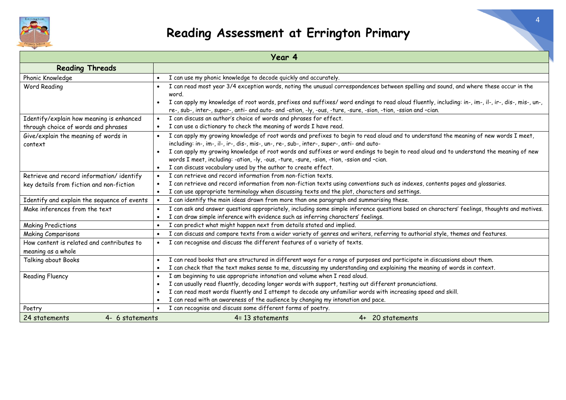

| Year 4                                                                                         |                                                                                                                                                                                                                                                                        |  |  |  |
|------------------------------------------------------------------------------------------------|------------------------------------------------------------------------------------------------------------------------------------------------------------------------------------------------------------------------------------------------------------------------|--|--|--|
| <b>Reading Threads</b>                                                                         |                                                                                                                                                                                                                                                                        |  |  |  |
| Phonic Knowledge                                                                               | I can use my phonic knowledge to decode quickly and accurately.                                                                                                                                                                                                        |  |  |  |
| Word Reading                                                                                   | I can read most year 3/4 exception words, noting the unusual correspondences between spelling and sound, and where these occur in the<br>word.                                                                                                                         |  |  |  |
|                                                                                                | I can apply my knowledge of root words, prefixes and suffixes/ word endings to read aloud fluently, including: in-, im-, il-, ir-, dis-, mis-, un-,<br>re-, sub-, inter-, super-, anti- and auto- and -ation, -ly, -ous, -ture, -sure, -sion, -tion, -ssion and -cian. |  |  |  |
| Identify/explain how meaning is enhanced                                                       | I can discuss an author's choice of words and phrases for effect.<br>$\bullet$                                                                                                                                                                                         |  |  |  |
| through choice of words and phrases                                                            | I can use a dictionary to check the meaning of words I have read.                                                                                                                                                                                                      |  |  |  |
| Give/explain the meaning of words in                                                           | I can apply my growing knowledge of root words and prefixes to begin to read aloud and to understand the meaning of new words I meet,                                                                                                                                  |  |  |  |
| context                                                                                        | including: in-, im-, il-, ir-, dis-, mis-, un-, re-, sub-, inter-, super-, anti- and auto-                                                                                                                                                                             |  |  |  |
|                                                                                                | I can apply my growing knowledge of root words and suffixes or word endings to begin to read aloud and to understand the meaning of new                                                                                                                                |  |  |  |
|                                                                                                | words I meet, including: -ation, -ly, -ous, -ture, -sure, -sion, -tion, -ssion and -cian.                                                                                                                                                                              |  |  |  |
|                                                                                                | I can discuss vocabulary used by the author to create effect.                                                                                                                                                                                                          |  |  |  |
| Retrieve and record information/identify                                                       | I can retrieve and record information from non-fiction texts.                                                                                                                                                                                                          |  |  |  |
| key details from fiction and non-fiction                                                       | I can retrieve and record information from non-fiction texts using conventions such as indexes, contents pages and glossaries.                                                                                                                                         |  |  |  |
| I can use appropriate terminology when discussing texts and the plot, characters and settings. |                                                                                                                                                                                                                                                                        |  |  |  |
| Identify and explain the sequence of events                                                    | I can identify the main ideas drawn from more than one paragraph and summarising these.                                                                                                                                                                                |  |  |  |
| Make inferences from the text                                                                  | I can ask and answer questions appropriately, including some simple inference questions based on characters' feelings, thoughts and motives.                                                                                                                           |  |  |  |
|                                                                                                | I can draw simple inference with evidence such as inferring characters' feelings.                                                                                                                                                                                      |  |  |  |
| <b>Making Predictions</b>                                                                      | I can predict what might happen next from details stated and implied.                                                                                                                                                                                                  |  |  |  |
| <b>Making Comparisons</b>                                                                      | I can discuss and compare texts from a wider variety of genres and writers, referring to authorial style, themes and features.<br>$\bullet$                                                                                                                            |  |  |  |
| How content is related and contributes to                                                      | I can recognise and discuss the different features of a variety of texts.                                                                                                                                                                                              |  |  |  |
| meaning as a whole                                                                             |                                                                                                                                                                                                                                                                        |  |  |  |
| Talking about Books                                                                            | I can read books that are structured in different ways for a range of purposes and participate in discussions about them.<br>$\bullet$                                                                                                                                 |  |  |  |
|                                                                                                | I can check that the text makes sense to me, discussing my understanding and explaining the meaning of words in context.                                                                                                                                               |  |  |  |
| <b>Reading Fluency</b>                                                                         | I am beginning to use appropriate intonation and volume when I read aloud.                                                                                                                                                                                             |  |  |  |
|                                                                                                | I can usually read fluently, decoding longer words with support, testing out different pronunciations.                                                                                                                                                                 |  |  |  |
|                                                                                                | I can read most words fluently and I attempt to decode any unfamiliar words with increasing speed and skill.                                                                                                                                                           |  |  |  |
|                                                                                                | I can read with an awareness of the audience by changing my intonation and pace.                                                                                                                                                                                       |  |  |  |
| Poetry                                                                                         | I can recognise and discuss some different forms of poetry.                                                                                                                                                                                                            |  |  |  |
| 24 statements<br>4- 6 statements                                                               | 4= 13 statements<br>4+ 20 statements                                                                                                                                                                                                                                   |  |  |  |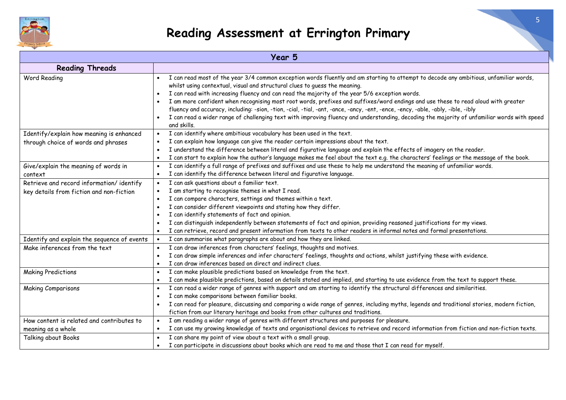

| Year 5                                                                               |                                                                                                                                                                                                                                                                                                                                                                                                                                                                                                                                                                                                                                                                                                                                                                                                   |  |  |  |
|--------------------------------------------------------------------------------------|---------------------------------------------------------------------------------------------------------------------------------------------------------------------------------------------------------------------------------------------------------------------------------------------------------------------------------------------------------------------------------------------------------------------------------------------------------------------------------------------------------------------------------------------------------------------------------------------------------------------------------------------------------------------------------------------------------------------------------------------------------------------------------------------------|--|--|--|
| <b>Reading Threads</b>                                                               |                                                                                                                                                                                                                                                                                                                                                                                                                                                                                                                                                                                                                                                                                                                                                                                                   |  |  |  |
| Word Reading                                                                         | I can read most of the year 3/4 common exception words fluently and am starting to attempt to decode any ambitious, unfamiliar words,<br>whilst using contextual, visual and structural clues to guess the meaning.<br>I can read with increasing fluency and can read the majority of the year 5/6 exception words.<br>$\bullet$<br>I am more confident when recognising most root words, prefixes and suffixes/word endings and use these to read aloud with greater<br>$\bullet$<br>fluency and accuracy, including: -sion, -tion, -cial, -tial, -ant, -ance, -ancy, -ent, -ence, -ency, -able, -ably, -ible, -ibly<br>I can read a wider range of challenging text with improving fluency and understanding, decoding the majority of unfamiliar words with speed<br>$\bullet$<br>and skills. |  |  |  |
| Identify/explain how meaning is enhanced<br>through choice of words and phrases      | I can identify where ambitious vocabulary has been used in the text.<br>$\bullet$<br>I can explain how language can give the reader certain impressions about the text.<br>I understand the difference between literal and figurative language and explain the effects of imagery on the reader.<br>I can start to explain how the author's language makes me feel about the text e.g. the characters' feelings or the message of the book.<br>$\bullet$                                                                                                                                                                                                                                                                                                                                          |  |  |  |
| Give/explain the meaning of words in<br>context                                      | I can identify a full range of prefixes and suffixes and use these to help me understand the meaning of unfamiliar words.<br>$\bullet$<br>I can identify the difference between literal and figurative language.<br>$\bullet$                                                                                                                                                                                                                                                                                                                                                                                                                                                                                                                                                                     |  |  |  |
| Retrieve and record information/identify<br>key details from fiction and non-fiction | I can ask questions about a familiar text.<br>$\bullet$<br>I am starting to recognise themes in what I read.<br>$\bullet$<br>I can compare characters, settings and themes within a text.<br>$\bullet$<br>I can consider different viewpoints and stating how they differ.<br>I can identify statements of fact and opinion.<br>I can distinguish independently between statements of fact and opinion, providing reasoned justifications for my views.<br>I can retrieve, record and present information from texts to other readers in informal notes and formal presentations.                                                                                                                                                                                                                 |  |  |  |
| Identify and explain the sequence of events                                          | I can summarise what paragraphs are about and how they are linked.<br>$\bullet$                                                                                                                                                                                                                                                                                                                                                                                                                                                                                                                                                                                                                                                                                                                   |  |  |  |
| Make inferences from the text                                                        | I can draw inferences from characters' feelings, thoughts and motives.<br>I can draw simple inferences and infer characters' feelings, thoughts and actions, whilst justifying these with evidence.<br>$\bullet$<br>I can draw inferences based on direct and indirect clues.                                                                                                                                                                                                                                                                                                                                                                                                                                                                                                                     |  |  |  |
| <b>Making Predictions</b>                                                            | I can make plausible predictions based on knowledge from the text.<br>$\bullet$<br>I can make plausible predictions, based on details stated and implied, and starting to use evidence from the text to support these.<br>$\bullet$                                                                                                                                                                                                                                                                                                                                                                                                                                                                                                                                                               |  |  |  |
| <b>Making Comparisons</b>                                                            | I can read a wider range of genres with support and am starting to identify the structural differences and similarities.<br>$\bullet$<br>I can make comparisons between familiar books.<br>$\bullet$<br>I can read for pleasure, discussing and comparing a wide range of genres, including myths, legends and traditional stories, modern fiction,<br>fiction from our literary heritage and books from other cultures and traditions.                                                                                                                                                                                                                                                                                                                                                           |  |  |  |
| How content is related and contributes to<br>meaning as a whole                      | I am reading a wider range of genres with different structures and purposes for pleasure.<br>I can use my growing knowledge of texts and organisational devices to retrieve and record information from fiction and non-fiction texts.                                                                                                                                                                                                                                                                                                                                                                                                                                                                                                                                                            |  |  |  |
| Talking about Books                                                                  | I can share my point of view about a text with a small group.<br>$\bullet$<br>I can participate in discussions about books which are read to me and those that I can read for myself.<br>$\bullet$                                                                                                                                                                                                                                                                                                                                                                                                                                                                                                                                                                                                |  |  |  |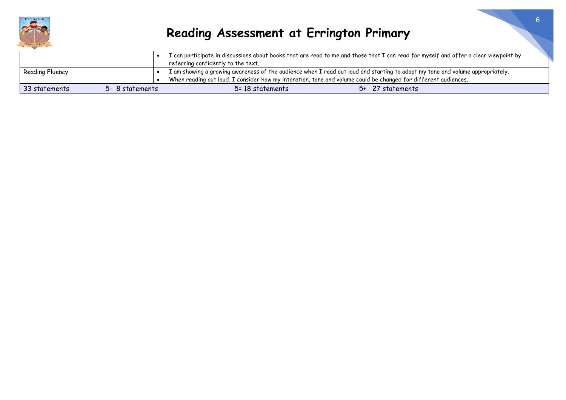

|                                                                                                                |                 |  | I can participate in discussions about books that are read to me and those that I can read for myself and offer a clear viewpoint by |  |                  |
|----------------------------------------------------------------------------------------------------------------|-----------------|--|--------------------------------------------------------------------------------------------------------------------------------------|--|------------------|
|                                                                                                                |                 |  | referring confidently to the text.                                                                                                   |  |                  |
| Reading Fluency                                                                                                |                 |  | I am showing a growing awareness of the audience when I read out loud and starting to adapt my tone and volume appropriately.        |  |                  |
| When reading out loud, I consider how my intonation, tone and volume could be changed for different audiences. |                 |  |                                                                                                                                      |  |                  |
| 33 statements                                                                                                  | 5- 8 statements |  | 5= 18 statements                                                                                                                     |  | 5+ 27 statements |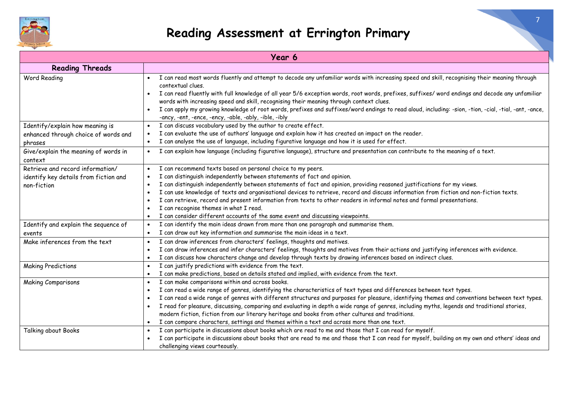

| Year 6                                                                                   |                                                                                                                                                                                                                                                                                                                                                                                                                                                                                                                                                                                                                                                                                                      |  |  |  |
|------------------------------------------------------------------------------------------|------------------------------------------------------------------------------------------------------------------------------------------------------------------------------------------------------------------------------------------------------------------------------------------------------------------------------------------------------------------------------------------------------------------------------------------------------------------------------------------------------------------------------------------------------------------------------------------------------------------------------------------------------------------------------------------------------|--|--|--|
| <b>Reading Threads</b>                                                                   |                                                                                                                                                                                                                                                                                                                                                                                                                                                                                                                                                                                                                                                                                                      |  |  |  |
| Word Reading                                                                             | I can read most words fluently and attempt to decode any unfamiliar words with increasing speed and skill, recognising their meaning through<br>contextual clues.<br>I can read fluently with full knowledge of all year 5/6 exception words, root words, prefixes, suffixes/ word endings and decode any unfamiliar<br>words with increasing speed and skill, recognising their meaning through context clues.<br>I can apply my growing knowledge of root words, prefixes and suffixes/word endings to read aloud, including: -sion, -tion, -cial, -tial, -ant, -ance,<br>$\bullet$<br>-ancy, -ent, -ence, -ency, -able, -ably, -ible, -ibly                                                       |  |  |  |
| Identify/explain how meaning is<br>enhanced through choice of words and<br>phrases       | I can discuss vocabulary used by the author to create effect.<br>I can evaluate the use of authors' language and explain how it has created an impact on the reader.<br>I can analyse the use of language, including figurative language and how it is used for effect.<br>$\bullet$                                                                                                                                                                                                                                                                                                                                                                                                                 |  |  |  |
| Give/explain the meaning of words in<br>context                                          | I can explain how language (including figurative language), structure and presentation can contribute to the meaning of a text.<br>$\bullet$                                                                                                                                                                                                                                                                                                                                                                                                                                                                                                                                                         |  |  |  |
| Retrieve and record information/<br>identify key details from fiction and<br>non-fiction | I can recommend texts based on personal choice to my peers.<br>$\bullet$<br>I can distinguish independently between statements of fact and opinion.<br>I can distinguish independently between statements of fact and opinion, providing reasoned justifications for my views.<br>I can use knowledge of texts and organisational devices to retrieve, record and discuss information from fiction and non-fiction texts.<br>I can retrieve, record and present information from texts to other readers in informal notes and formal presentations.<br>I can recognise themes in what I read.<br>I can consider different accounts of the same event and discussing viewpoints.<br>$\bullet$         |  |  |  |
| Identify and explain the sequence of<br>events                                           | I can identify the main ideas drawn from more than one paragraph and summarise them.<br>$\bullet$<br>I can draw out key information and summarise the main ideas in a text.                                                                                                                                                                                                                                                                                                                                                                                                                                                                                                                          |  |  |  |
| Make inferences from the text                                                            | I can draw inferences from characters' feelings, thoughts and motives.<br>I can draw inferences and infer characters' feelings, thoughts and motives from their actions and justifying inferences with evidence.<br>$\bullet$<br>I can discuss how characters change and develop through texts by drawing inferences based on indirect clues.<br>$\bullet$                                                                                                                                                                                                                                                                                                                                           |  |  |  |
| <b>Making Predictions</b>                                                                | I can justify predictions with evidence from the text.<br>$\bullet$<br>I can make predictions, based on details stated and implied, with evidence from the text.<br>$\bullet$                                                                                                                                                                                                                                                                                                                                                                                                                                                                                                                        |  |  |  |
| <b>Making Comparisons</b>                                                                | I can make comparisons within and across books.<br>$\bullet$<br>I can read a wide range of genres, identifying the characteristics of text types and differences between text types.<br>I can read a wide range of genres with different structures and purposes for pleasure, identifying themes and conventions between text types.<br>I read for pleasure, discussing, comparing and evaluating in depth a wide range of genres, including myths, legends and traditional stories,<br>modern fiction, fiction from our literary heritage and books from other cultures and traditions.<br>I can compare characters, settings and themes within a text and across more than one text.<br>$\bullet$ |  |  |  |
| Talking about Books                                                                      | I can participate in discussions about books which are read to me and those that I can read for myself.<br>$\bullet$<br>I can participate in discussions about books that are read to me and those that I can read for myself, building on my own and others' ideas and<br>challenging views courteously.                                                                                                                                                                                                                                                                                                                                                                                            |  |  |  |